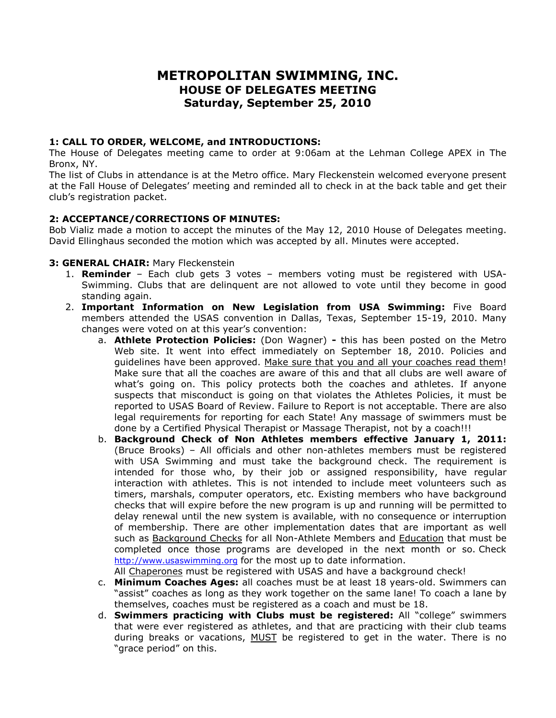# **METROPOLITAN SWIMMING, INC. HOUSE OF DELEGATES MEETING Saturday, September 25, 2010**

#### **1: CALL TO ORDER, WELCOME, and INTRODUCTIONS:**

The House of Delegates meeting came to order at 9:06am at the Lehman College APEX in The Bronx, NY.

The list of Clubs in attendance is at the Metro office. Mary Fleckenstein welcomed everyone present at the Fall House of Delegates' meeting and reminded all to check in at the back table and get their club's registration packet.

## **2: ACCEPTANCE/CORRECTIONS OF MINUTES:**

Bob Vializ made a motion to accept the minutes of the May 12, 2010 House of Delegates meeting. David Ellinghaus seconded the motion which was accepted by all. Minutes were accepted.

#### **3: GENERAL CHAIR:** Mary Fleckenstein

- 1. **Reminder** Each club gets 3 votes members voting must be registered with USA-Swimming. Clubs that are delinquent are not allowed to vote until they become in good standing again.
- 2. **Important Information on New Legislation from USA Swimming:** Five Board members attended the USAS convention in Dallas, Texas, September 15-19, 2010. Many changes were voted on at this year's convention:
	- a. **Athlete Protection Policies:** (Don Wagner) **-** this has been posted on the Metro Web site. It went into effect immediately on September 18, 2010. Policies and guidelines have been approved. Make sure that you and all your coaches read them! Make sure that all the coaches are aware of this and that all clubs are well aware of what's going on. This policy protects both the coaches and athletes. If anyone suspects that misconduct is going on that violates the Athletes Policies, it must be reported to USAS Board of Review. Failure to Report is not acceptable. There are also legal requirements for reporting for each State! Any massage of swimmers must be done by a Certified Physical Therapist or Massage Therapist, not by a coach!!!
	- b. **Background Check of Non Athletes members effective January 1, 2011:** (Bruce Brooks) – All officials and other non-athletes members must be registered with USA Swimming and must take the background check. The requirement is intended for those who, by their job or assigned responsibility, have regular interaction with athletes. This is not intended to include meet volunteers such as timers, marshals, computer operators, etc. Existing members who have background checks that will expire before the new program is up and running will be permitted to delay renewal until the new system is available, with no consequence or interruption of membership. There are other implementation dates that are important as well such as Background Checks for all Non-Athlete Members and Education that must be completed once those programs are developed in the next month or so. Check http://www.usaswimming.org for the most up to date information.

All Chaperones must be registered with USAS and have a background check!

- c. **Minimum Coaches Ages:** all coaches must be at least 18 years-old. Swimmers can "assist" coaches as long as they work together on the same lane! To coach a lane by themselves, coaches must be registered as a coach and must be 18.
- d. **Swimmers practicing with Clubs must be registered:** All "college" swimmers that were ever registered as athletes, and that are practicing with their club teams during breaks or vacations, MUST be registered to get in the water. There is no "grace period" on this.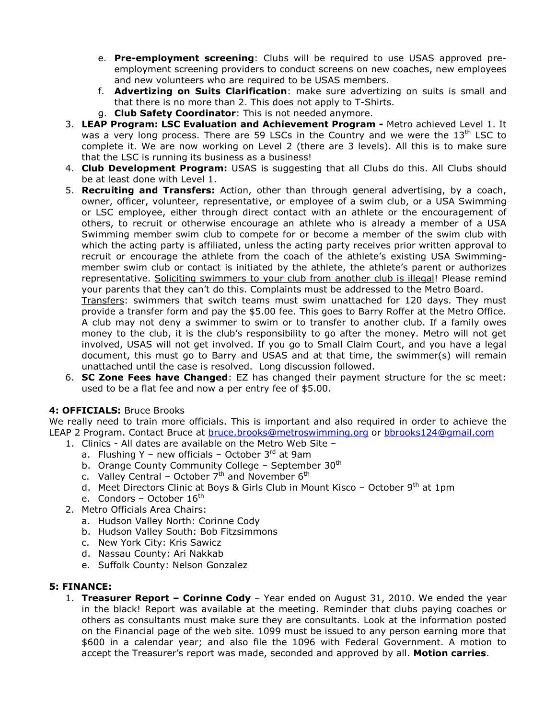- e. **Pre-employment screening**: Clubs will be required to use USAS approved preemployment screening providers to conduct screens on new coaches, new employees and new volunteers who are required to be USAS members.
- f. **Advertizing on Suits Clarification**: make sure advertizing on suits is small and that there is no more than 2. This does not apply to T-Shirts.
- g. **Club Safety Coordinator**: This is not needed anymore.
- 3. **LEAP Program: LSC Evaluation and Achievement Program -** Metro achieved Level 1. It was a very long process. There are 59 LSCs in the Country and we were the  $13<sup>th</sup>$  LSC to complete it. We are now working on Level 2 (there are 3 levels). All this is to make sure that the LSC is running its business as a business!
- 4. **Club Development Program:** USAS is suggesting that all Clubs do this. All Clubs should be at least done with Level 1.
- 5. **Recruiting and Transfers:** Action, other than through general advertising, by a coach, owner, officer, volunteer, representative, or employee of a swim club, or a USA Swimming or LSC employee, either through direct contact with an athlete or the encouragement of others, to recruit or otherwise encourage an athlete who is already a member of a USA Swimming member swim club to compete for or become a member of the swim club with which the acting party is affiliated, unless the acting party receives prior written approval to recruit or encourage the athlete from the coach of the athlete's existing USA Swimmingmember swim club or contact is initiated by the athlete, the athlete's parent or authorizes representative. Soliciting swimmers to your club from another club is illegal! Please remind your parents that they can't do this. Complaints must be addressed to the Metro Board.

Transfers: swimmers that switch teams must swim unattached for 120 days. They must provide a transfer form and pay the \$5.00 fee. This goes to Barry Roffer at the Metro Office. A club may not deny a swimmer to swim or to transfer to another club. If a family owes money to the club, it is the club's responsibility to go after the money. Metro will not get involved, USAS will not get involved. If you go to Small Claim Court, and you have a legal document, this must go to Barry and USAS and at that time, the swimmer(s) will remain unattached until the case is resolved. Long discussion followed.

6. **SC Zone Fees have Changed**: EZ has changed their payment structure for the sc meet: used to be a flat fee and now a per entry fee of \$5.00.

# **4: OFFICIALS:** Bruce Brooks

We really need to train more officials. This is important and also required in order to achieve the LEAP 2 Program. Contact Bruce at bruce.brooks@metroswimming.org or bbrooks124@gmail.com

- 1. Clinics All dates are available on the Metro Web Site
	- a. Flushing Y new officials October  $3^{rd}$  at 9am
	- b. Orange County Community College September  $30<sup>th</sup>$
	- c. Valley Central October  $7<sup>th</sup>$  and November  $6<sup>th</sup>$
	- d. Meet Directors Clinic at Boys & Girls Club in Mount Kisco October  $9<sup>th</sup>$  at 1pm
	- e. Condors October  $16<sup>th</sup>$
- 2. Metro Officials Area Chairs:
	- a. Hudson Valley North: Corinne Cody
	- b. Hudson Valley South: Bob Fitzsimmons
	- c. New York City: Kris Sawicz
	- d. Nassau County: Ari Nakkab
	- e. Suffolk County: Nelson Gonzalez

#### **5: FINANCE:**

1. **Treasurer Report – Corinne Cody** – Year ended on August 31, 2010. We ended the year in the black! Report was available at the meeting. Reminder that clubs paying coaches or others as consultants must make sure they are consultants. Look at the information posted on the Financial page of the web site. 1099 must be issued to any person earning more that \$600 in a calendar year; and also file the 1096 with Federal Government. A motion to accept the Treasurer's report was made, seconded and approved by all. **Motion carries**.